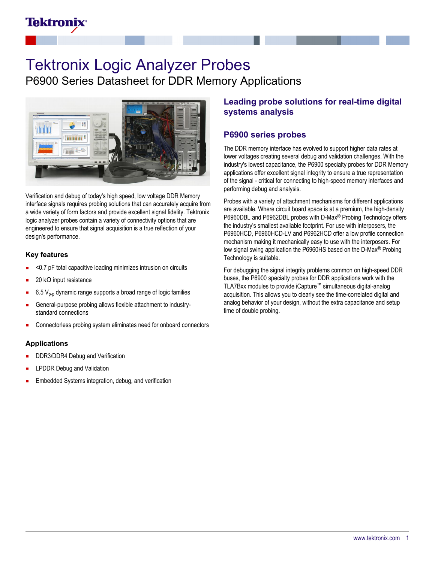## **Tektronix**

# Tektronix Logic Analyzer Probes

P6900 Series Datasheet for DDR Memory Applications



Verification and debug of today's high speed, low voltage DDR Memory interface signals requires probing solutions that can accurately acquire from a wide variety of form factors and provide excellent signal fidelity. Tektronix logic analyzer probes contain a variety of connectivity options that are engineered to ensure that signal acquisition is a true reflection of your design's performance.

### **Key features**

- <0.7 pF total capacitive loading minimizes intrusion on circuits
- 20 kΩ input resistance
- 6.5  $V_{p-p}$  dynamic range supports a broad range of logic families
- General-purpose probing allows flexible attachment to industrystandard connections
- Connectorless probing system eliminates need for onboard connectors Ξ

### **Applications**

- DDR3/DDR4 Debug and Verification
- LPDDR Debug and Validation
- Embedded Systems integration, debug, and verification

## **Leading probe solutions for real-time digital systems analysis**

### **P6900 series probes**

The DDR memory interface has evolved to support higher data rates at lower voltages creating several debug and validation challenges. With the industry's lowest capacitance, the P6900 specialty probes for DDR Memory applications offer excellent signal integrity to ensure a true representation of the signal - critical for connecting to high-speed memory interfaces and performing debug and analysis.

Probes with a variety of attachment mechanisms for different applications are available. Where circuit board space is at a premium, the high-density P6960DBL and P6962DBL probes with D-Max® Probing Technology offers the industry's smallest available footprint. For use with interposers, the P6960HCD, P6960HCD-LV and P6962HCD offer a low profile connection mechanism making it mechanically easy to use with the interposers. For low signal swing application the P6960HS based on the D-Max® Probing Technology is suitable.

For debugging the signal integrity problems common on high-speed DDR buses, the P6900 specialty probes for DDR applications work with the TLA7Bxx modules to provide iCapture™ simultaneous digital-analog acquisition. This allows you to clearly see the time-correlated digital and analog behavior of your design, without the extra capacitance and setup time of double probing.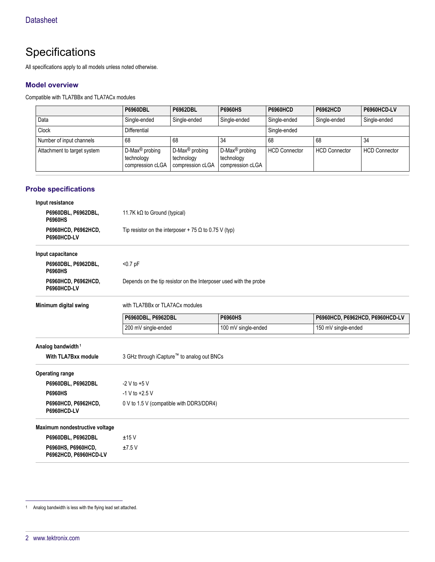## **Specifications**

All specifications apply to all models unless noted otherwise.

### **Model overview**

Compatible with TLA7BBx and TLA7ACx modules

|                             | <b>P6960DBL</b>                                              | <b>P6962DBL</b>                                              | <b>P6960HS</b>                                               | <b>P6960HCD</b>      | <b>P6962HCD</b>      | P6960HCD-LV          |
|-----------------------------|--------------------------------------------------------------|--------------------------------------------------------------|--------------------------------------------------------------|----------------------|----------------------|----------------------|
| Data                        | Single-ended                                                 | Single-ended                                                 | Single-ended                                                 | Single-ended         | Single-ended         | Single-ended         |
| <b>Clock</b>                | Differential                                                 |                                                              | Single-ended                                                 |                      |                      |                      |
| Number of input channels    | 68                                                           | 68                                                           | 34                                                           | 68                   | 68                   | 34                   |
| Attachment to target system | D-Max <sup>®</sup> probing<br>technology<br>compression cLGA | D-Max <sup>®</sup> probing<br>technology<br>compression cLGA | D-Max <sup>®</sup> probing<br>technology<br>compression cLGA | <b>HCD Connector</b> | <b>HCD Connector</b> | <b>HCD Connector</b> |

### **Probe specifications**

| Input resistance                            |                                                                   |                     |                                 |
|---------------------------------------------|-------------------------------------------------------------------|---------------------|---------------------------------|
| P6960DBL, P6962DBL,<br><b>P6960HS</b>       | 11.7K kΩ to Ground (typical)                                      |                     |                                 |
| P6960HCD, P6962HCD,<br>P6960HCD-LV          | Tip resistor on the interposer + 75 $\Omega$ to 0.75 V (typ)      |                     |                                 |
| Input capacitance                           |                                                                   |                     |                                 |
| P6960DBL, P6962DBL,<br><b>P6960HS</b>       | $< 0.7$ pF                                                        |                     |                                 |
| P6960HCD, P6962HCD,<br>P6960HCD-LV          | Depends on the tip resistor on the Interposer used with the probe |                     |                                 |
| Minimum digital swing                       | with TLA7BBx or TLA7ACx modules                                   |                     |                                 |
|                                             | P6960DBL, P6962DBL                                                | <b>P6960HS</b>      | P6960HCD, P6962HCD, P6960HCD-LV |
|                                             | 200 mV single-ended                                               | 100 mV single-ended | 150 mV single-ended             |
| Analog bandwidth <sup>1</sup>               |                                                                   |                     |                                 |
| With TLA7Bxx module                         | 3 GHz through iCapture™ to analog out BNCs                        |                     |                                 |
| <b>Operating range</b>                      |                                                                   |                     |                                 |
| P6960DBL, P6962DBL                          | $-2$ V to $+5$ V                                                  |                     |                                 |
| <b>P6960HS</b>                              | $-1$ V to $+2.5$ V                                                |                     |                                 |
| P6960HCD, P6962HCD,<br>P6960HCD-LV          | 0 V to 1.5 V (compatible with DDR3/DDR4)                          |                     |                                 |
| Maximum nondestructive voltage              |                                                                   |                     |                                 |
| P6960DBL, P6962DBL                          | ±15V                                                              |                     |                                 |
| P6960HS, P6960HCD,<br>P6962HCD, P6960HCD-LV | ±7.5V                                                             |                     |                                 |

<sup>1</sup> Analog bandwidth is less with the flying lead set attached.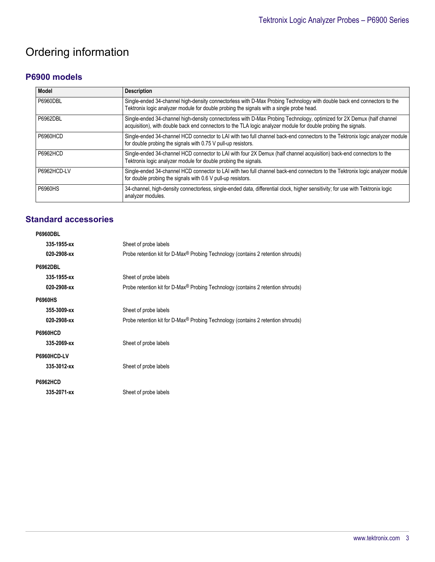## Ordering information

## **P6900 models**

| Model           | <b>Description</b>                                                                                                                                                                                                                       |
|-----------------|------------------------------------------------------------------------------------------------------------------------------------------------------------------------------------------------------------------------------------------|
| <b>P6960DBL</b> | Single-ended 34-channel high-density connectorless with D-Max Probing Technology with double back end connectors to the<br>Tektronix logic analyzer module for double probing the signals with a single probe head.                      |
| <b>P6962DBL</b> | Single-ended 34-channel high-density connectorless with D-Max Probing Technology, optimized for 2X Demux (half channel<br>acquisition), with double back end connectors to the TLA logic analyzer module for double probing the signals. |
| <b>P6960HCD</b> | Single-ended 34-channel HCD connector to LAI with two full channel back-end connectors to the Tektronix logic analyzer module<br>for double probing the signals with 0.75 V pull-up resistors.                                           |
| <b>P6962HCD</b> | Single-ended 34-channel HCD connector to LAI with four 2X Demux (half channel acquisition) back-end connectors to the<br>Tektronix logic analyzer module for double probing the signals.                                                 |
| P6962HCD-LV     | Single-ended 34-channel HCD connector to LAI with two full channel back-end connectors to the Tektronix logic analyzer module<br>for double probing the signals with 0.6 V pull-up resistors.                                            |
| <b>P6960HS</b>  | 34-channel, high-density connectorless, single-ended data, differential clock, higher sensitivity; for use with Tektronix logic<br>analyzer modules.                                                                                     |

## **Standard accessories**

| P6960DBL        |                                                                                              |  |
|-----------------|----------------------------------------------------------------------------------------------|--|
| 335-1955-xx     | Sheet of probe labels                                                                        |  |
| 020-2908-xx     | Probe retention kit for D-Max <sup>®</sup> Probing Technology (contains 2 retention shrouds) |  |
| <b>P6962DBL</b> |                                                                                              |  |
| 335-1955-xx     | Sheet of probe labels                                                                        |  |
| 020-2908-xx     | Probe retention kit for D-Max <sup>®</sup> Probing Technology (contains 2 retention shrouds) |  |
| <b>P6960HS</b>  |                                                                                              |  |
| 355-3009-xx     | Sheet of probe labels                                                                        |  |
| 020-2908-xx     | Probe retention kit for D-Max® Probing Technology (contains 2 retention shrouds)             |  |
| <b>P6960HCD</b> |                                                                                              |  |
| 335-2069-xx     | Sheet of probe labels                                                                        |  |
| P6960HCD-LV     |                                                                                              |  |
| 335-3012-xx     | Sheet of probe labels                                                                        |  |
| <b>P6962HCD</b> |                                                                                              |  |
| 335-2071-xx     | Sheet of probe labels                                                                        |  |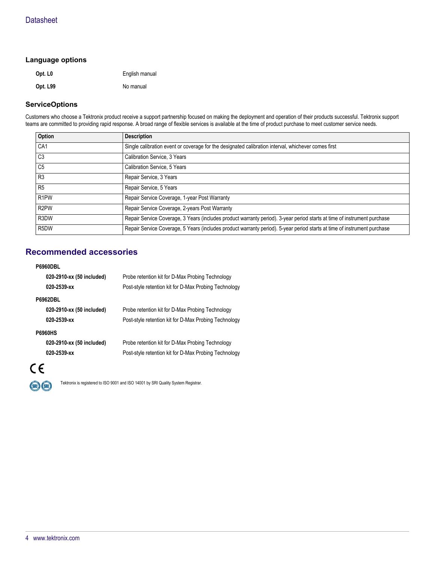#### **Language options**

| Opt. L <sub>0</sub> | English manual |
|---------------------|----------------|
| Opt. L99            | No manual      |

### **ServiceOptions**

Customers who choose a Tektronix product receive a support partnership focused on making the deployment and operation of their products successful. Tektronix support teams are committed to providing rapid response. A broad range of flexible services is available at the time of product purchase to meet customer service needs.

| Option            | <b>Description</b>                                                                                                       |
|-------------------|--------------------------------------------------------------------------------------------------------------------------|
| CA <sub>1</sub>   | Single calibration event or coverage for the designated calibration interval, whichever comes first                      |
| C <sub>3</sub>    | Calibration Service, 3 Years                                                                                             |
| C <sub>5</sub>    | Calibration Service, 5 Years                                                                                             |
| R <sub>3</sub>    | Repair Service, 3 Years                                                                                                  |
| R <sub>5</sub>    | Repair Service, 5 Years                                                                                                  |
| R <sub>1</sub> PW | Repair Service Coverage, 1-year Post Warranty                                                                            |
| R <sub>2</sub> PW | Repair Service Coverage, 2-years Post Warranty                                                                           |
| R3DW              | Repair Service Coverage, 3 Years (includes product warranty period). 3-year period starts at time of instrument purchase |
| R <sub>5</sub> DW | Repair Service Coverage, 5 Years (includes product warranty period). 5-year period starts at time of instrument purchase |

## **Recommended accessories**

#### **P6960DBL**

|                | 020-2910-xx (50 included)<br>020-2539-xx | Probe retention kit for D-Max Probing Technology<br>Post-style retention kit for D-Max Probing Technology |
|----------------|------------------------------------------|-----------------------------------------------------------------------------------------------------------|
|                | <b>P6962DBL</b>                          |                                                                                                           |
|                | 020-2910-xx (50 included)                | Probe retention kit for D-Max Probing Technology                                                          |
|                | 020-2539-xx                              | Post-style retention kit for D-Max Probing Technology                                                     |
| <b>P6960HS</b> |                                          |                                                                                                           |
|                | 020-2910-xx (50 included)                | Probe retention kit for D-Max Probing Technology                                                          |
|                | 020-2539-xx                              | Post-style retention kit for D-Max Probing Technology                                                     |



 $(R)$  $(R)$ 

Tektronix is registered to ISO 9001 and ISO 14001 by SRI Quality System Registrar.